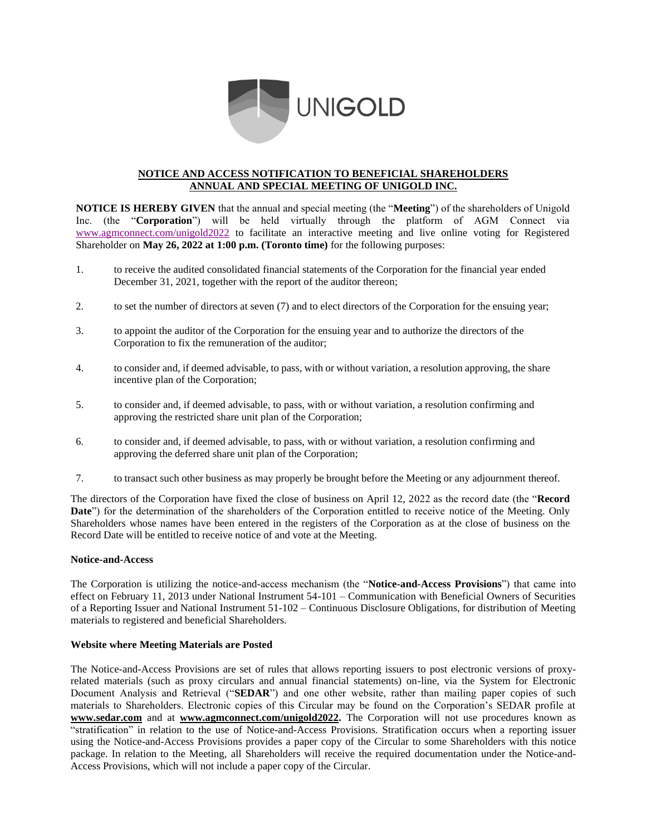

# **NOTICE AND ACCESS NOTIFICATION TO BENEFICIAL SHAREHOLDERS ANNUAL AND SPECIAL MEETING OF UNIGOLD INC.**

**NOTICE IS HEREBY GIVEN** that the annual and special meeting (the "**Meeting**") of the shareholders of Unigold Inc. (the "**Corporation**") will be held virtually through the platform of AGM Connect via [www.agmconnect.com/unigold2022](http://www.agmconnect.com/unigold2022) to facilitate an interactive meeting and live online voting for Registered Shareholder on **May 26, 2022 at 1:00 p.m. (Toronto time)** for the following purposes:

- 1. to receive the audited consolidated financial statements of the Corporation for the financial year ended December 31, 2021, together with the report of the auditor thereon;
- 2. to set the number of directors at seven (7) and to elect directors of the Corporation for the ensuing year;
- 3. to appoint the auditor of the Corporation for the ensuing year and to authorize the directors of the Corporation to fix the remuneration of the auditor;
- 4. to consider and, if deemed advisable, to pass, with or without variation, a resolution approving, the share incentive plan of the Corporation;
- 5. to consider and, if deemed advisable, to pass, with or without variation, a resolution confirming and approving the restricted share unit plan of the Corporation;
- 6. to consider and, if deemed advisable, to pass, with or without variation, a resolution confirming and approving the deferred share unit plan of the Corporation;
- 7. to transact such other business as may properly be brought before the Meeting or any adjournment thereof.

The directors of the Corporation have fixed the close of business on April 12, 2022 as the record date (the "**Record Date**") for the determination of the shareholders of the Corporation entitled to receive notice of the Meeting. Only Shareholders whose names have been entered in the registers of the Corporation as at the close of business on the Record Date will be entitled to receive notice of and vote at the Meeting.

#### **Notice-and-Access**

The Corporation is utilizing the notice-and-access mechanism (the "**Notice-and-Access Provisions**") that came into effect on February 11, 2013 under National Instrument 54-101 – Communication with Beneficial Owners of Securities of a Reporting Issuer and National Instrument 51-102 – Continuous Disclosure Obligations, for distribution of Meeting materials to registered and beneficial Shareholders.

#### **Website where Meeting Materials are Posted**

The Notice-and-Access Provisions are set of rules that allows reporting issuers to post electronic versions of proxyrelated materials (such as proxy circulars and annual financial statements) on-line, via the System for Electronic Document Analysis and Retrieval ("**SEDAR**") and one other website, rather than mailing paper copies of such materials to Shareholders. Electronic copies of this Circular may be found on the Corporation's SEDAR profile at **[www.sedar.com](http://www.sedar.com/)** and at **[www.agmconnect.com/unigold2022](http://www.agmconnect.com/unigold202).** The Corporation will not use procedures known as "stratification" in relation to the use of Notice-and-Access Provisions. Stratification occurs when a reporting issuer using the Notice-and-Access Provisions provides a paper copy of the Circular to some Shareholders with this notice package. In relation to the Meeting, all Shareholders will receive the required documentation under the Notice-and-Access Provisions, which will not include a paper copy of the Circular.